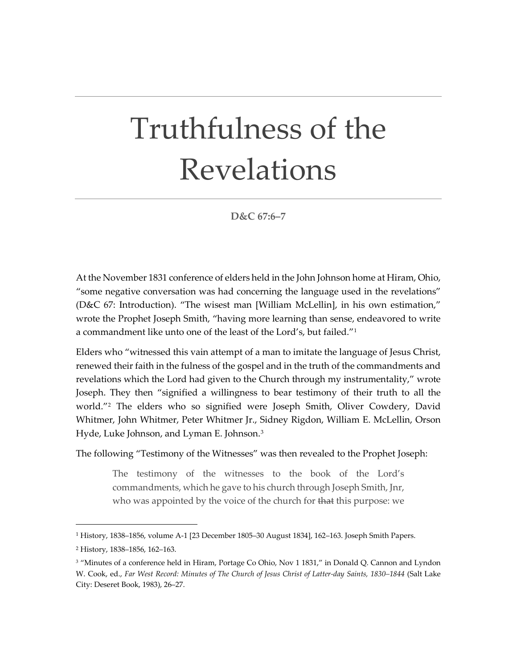## Truthfulness of the Revelations

**D&C 67:6–7**

At the November 1831 conference of elders held in the John Johnson home at Hiram, Ohio, "some negative conversation was had concerning the language used in the revelations" (D&C 67: Introduction). "The wisest man [William McLellin], in his own estimation," wrote the Prophet Joseph Smith, "having more learning than sense, endeavored to write a commandment like unto one of the least of the Lord's, but failed.["1](#page-0-0)

Elders who "witnessed this vain attempt of a man to imitate the language of Jesus Christ, renewed their faith in the fulness of the gospel and in the truth of the commandments and revelations which the Lord had given to the Church through my instrumentality," wrote Joseph. They then "signified a willingness to bear testimony of their truth to all the world."[2](#page-0-1) The elders who so signified were Joseph Smith, Oliver Cowdery, David Whitmer, John Whitmer, Peter Whitmer Jr., Sidney Rigdon, William E. McLellin, Orson Hyde, Luke Johnson, and Lyman E. Johnson.<sup>[3](#page-0-2)</sup>

The following "Testimony of the Witnesses" was then revealed to the Prophet Joseph:

The testimony of the witnesses to the book of the Lord's commandments, which he gave to his church through Joseph Smith, Jnr, who was appointed by the voice of the church for that this purpose: we

<span id="page-0-0"></span><sup>1</sup> History, 1838–1856, volume A-1 [23 December 1805–30 August 1834], 162–163. Joseph Smith Papers.

<span id="page-0-1"></span><sup>2</sup> History, 1838–1856, 162–163.

<span id="page-0-2"></span><sup>3</sup> "Minutes of a conference held in Hiram, Portage Co Ohio, Nov 1 1831," in Donald Q. Cannon and Lyndon W. Cook, ed., *Far West Record: Minutes of The Church of Jesus Christ of Latter-day Saints, 1830–1844* (Salt Lake City: Deseret Book, 1983), 26–27.